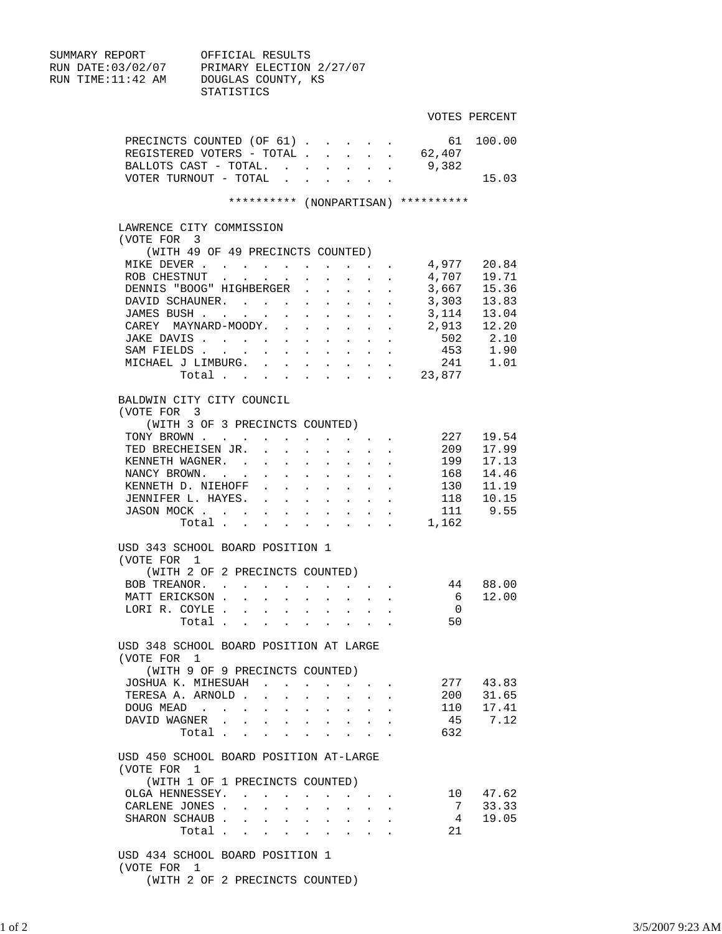SUMMARY REPORT OFFICIAL RESULTS RUN DATE:03/02/07 PRIMARY ELECTION 2/27/07 RUN TIME:11:42 AM DOUGLAS COUNTY, KS STATISTICS VOTES PERCENT PRECINCTS COUNTED (OF 61) . . . . . 61 100.00 REGISTERED VOTERS - TOTAL . . . . . 62,407 REGISTERED VOTERS - TOTAL . . . . . 62,407<br>BALLOTS CAST - TOTAL. . . . . . . 9,382<br>VOTER TURNOUT - TOTAL . . . . . . . VOTER TURNOUT - TOTAL . . . . . . 15.03 \*\*\*\*\*\*\*\*\*\* (NONPARTISAN) \*\*\*\*\*\*\*\*\*\* LAWRENCE CITY COMMISSION (VOTE FOR 3 (WITH 49 OF 49 PRECINCTS COUNTED) MIKE DEVER . . . . . . . . . . 4,977 20.84 ROB CHESTNUT . . . . . . . . . 4,707 19.71 DENNIS "BOOG" HIGHBERGER . . . . . 3,667 15.36 DAVID SCHAUNER. . . . . . . . . . 3,303 13.83<br>JAMES BUSH . . . . . . . . . . . 3,114 13.04<br>CAREY MAYNARD-MOODY. . . . . . 2,913 12.20 JAMES BUSH . . . . . . . . . . CAREY MAYNARD-MOODY. . . . . . . 2,913 12.20<br>JAKE DAVIS . . . . . . . . . . . 502 2.10<br>SAM FIELDS . . . . . . . . . . . 453 1.90 JAKE DAVIS . . . . . . . . . . SAM FIELDS . . . . . . . . . . MICHAEL J LIMBURG. . . . . . . . 241 1.01 Total . . . . . . . . . 23,877 BALDWIN CITY CITY COUNCIL (VOTE FOR 3 (WITH 3 OF 3 PRECINCTS COUNTED)

TONY BROWN . . . . . . . . . . . . . . . 227 19.54<br>
TED BRECHEISEN JR. . . . . . . . . . 209 17.99<br>
KENNETH WAGNER. . . . . . . . . . 199 17.13<br>
NANCY BROWN. . . . . . . . . . . . 168 14.46 TED BRECHEISEN JR. . . . . . . . 209 17.99<br>KENNETH WAGNER. . . . . . . . . 199 17.13 KENNETH WAGNER. . . . . . . . . . 199 17.13<br>NANCY BROWN. . . . . . . . . . 168 14.46 NANCY BROWN. . . . . . . . . . . . 168 14.46<br>
KENNETH D. NIEHOFF . . . . . . . . 130 11.19 KENNETH D. NIEHOFF . . . . . . . JENNIFER L. HAYES. . . . . . . . 118 10.15 JASON MOCK . . . . . . . . . . 111 9.55 Total . . . . . . . . . 1,162 USD 343 SCHOOL BOARD POSITION 1 (VOTE FOR 1 (WITH 2 OF 2 PRECINCTS COUNTED) BOB TREANOR. . . . . . . . . . 44 88.00 MATT ERICKSON . . . . . . . . . . 6 12.00 100 R. COYLE . . . . . . . . . 0<br>
Total . . . . . . . . . . 50 Total  $\cdots$  . . . USD 348 SCHOOL BOARD POSITION AT LARGE (VOTE FOR 1 (WITH 9 OF 9 PRECINCTS COUNTED) JOSHUA K. MIHESUAH . . . . . . . . . 277 43.83<br>
TERESA A. ARNOLD . . . . . . . . . . 200 31.65<br>
DOUG MEAD . . . . . . . . . . . 110 17.41<br>
DAVID WAGNER . . . . . . . . . . . 45 7.12<br>
Total . . . . . . . . . . . 632 TERESA A. ARNOLD . . . . . . . .<br>DOUG MEAD . . . . . . . . . . DOUG MEAD . . . . . . . . . . 110 17.41 DAVID WAGNER . . . . . . . . . .<br>Total . . . . . . . . . Total  $\cdots$  . . . . . USD 450 SCHOOL BOARD POSITION AT-LARGE (VOTE FOR 1 (WITH 1 OF 1 PRECINCTS COUNTED) 0LGA HENNESSEY. . . . . . . . . 10 47.62<br>CARLENE JONES . . . . . . . . . 7 33.33<br>SHARON SCHAUB . . . . . . . . . 4 19.05 CARLENE JONES . . . . . . . . . SHARON SCHAUB . . . . . . . . . . 4<br>Total . . . . . . . . . 21

> USD 434 SCHOOL BOARD POSITION 1 (VOTE FOR 1 (WITH 2 OF 2 PRECINCTS COUNTED)

Total . . . . . . .